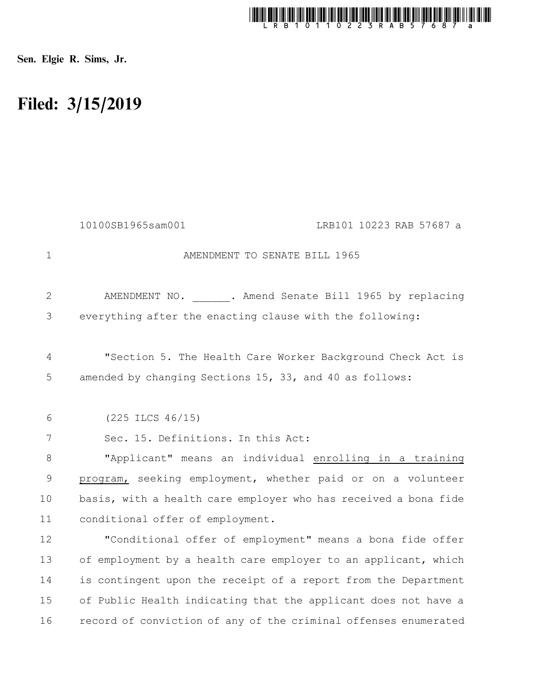

Sen. Elgie R. Sims, Jr.

## Filed: 3/15/2019

|             | 10100SB1965sam001<br>LRB101 10223 RAB 57687 a                   |
|-------------|-----------------------------------------------------------------|
| 1           | AMENDMENT TO SENATE BILL 1965                                   |
| 2           | AMENDMENT NO. . Amend Senate Bill 1965 by replacing             |
| 3           | everything after the enacting clause with the following:        |
| 4           | "Section 5. The Health Care Worker Background Check Act is      |
| 5           | amended by changing Sections 15, 33, and 40 as follows:         |
| 6           | $(225$ ILCS $46/15)$                                            |
| 7           | Sec. 15. Definitions. In this Act:                              |
| $8\,$       | "Applicant" means an individual enrolling in a training         |
| $\mathsf 9$ | program, seeking employment, whether paid or on a volunteer     |
| 10          | basis, with a health care employer who has received a bona fide |
| 11          | conditional offer of employment.                                |
| 12          | "Conditional offer of employment" means a bona fide offer       |
| 13          | of employment by a health care employer to an applicant, which  |
| 14          | is contingent upon the receipt of a report from the Department  |
| 15          | of Public Health indicating that the applicant does not have a  |
| 16          | record of conviction of any of the criminal offenses enumerated |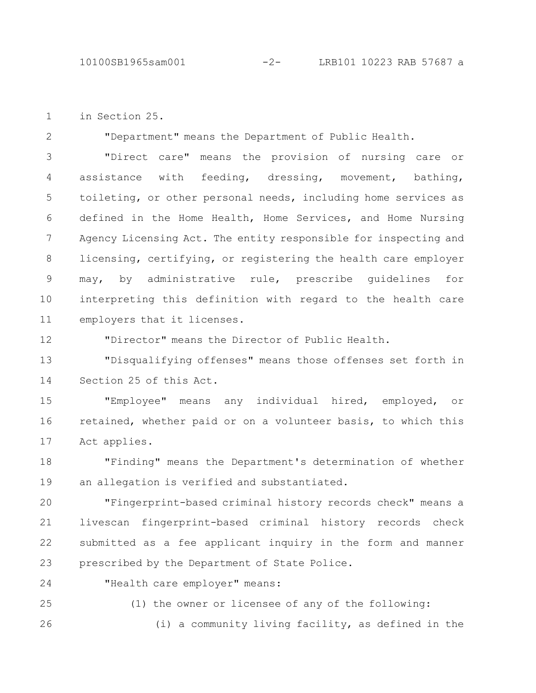in Section 25. 1

2

"Department" means the Department of Public Health.

"Direct care" means the provision of nursing care or assistance with feeding, dressing, movement, bathing, toileting, or other personal needs, including home services as defined in the Home Health, Home Services, and Home Nursing Agency Licensing Act. The entity responsible for inspecting and licensing, certifying, or registering the health care employer may, by administrative rule, prescribe guidelines for interpreting this definition with regard to the health care employers that it licenses. 3 4 5 6 7 8 9 10 11

"Director" means the Director of Public Health. 12

"Disqualifying offenses" means those offenses set forth in Section 25 of this Act. 13 14

"Employee" means any individual hired, employed, or retained, whether paid or on a volunteer basis, to which this Act applies. 15 16 17

"Finding" means the Department's determination of whether an allegation is verified and substantiated. 18 19

"Fingerprint-based criminal history records check" means a livescan fingerprint-based criminal history records check submitted as a fee applicant inquiry in the form and manner prescribed by the Department of State Police. 20 21 22 23

24

"Health care employer" means:

(1) the owner or licensee of any of the following: (i) a community living facility, as defined in the 25 26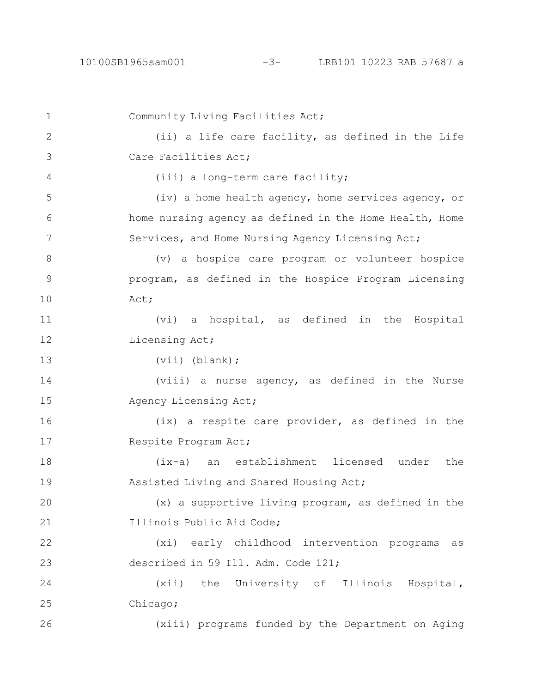Community Living Facilities Act; (ii) a life care facility, as defined in the Life Care Facilities Act; (iii) a long-term care facility; (iv) a home health agency, home services agency, or home nursing agency as defined in the Home Health, Home Services, and Home Nursing Agency Licensing Act; (v) a hospice care program or volunteer hospice program, as defined in the Hospice Program Licensing Act; (vi) a hospital, as defined in the Hospital Licensing Act; (vii) (blank); (viii) a nurse agency, as defined in the Nurse Agency Licensing Act; (ix) a respite care provider, as defined in the Respite Program Act; (ix-a) an establishment licensed under the Assisted Living and Shared Housing Act; (x) a supportive living program, as defined in the Illinois Public Aid Code; (xi) early childhood intervention programs as described in 59 Ill. Adm. Code 121; (xii) the University of Illinois Hospital, Chicago; (xiii) programs funded by the Department on Aging 1 2 3 4 5 6 7 8 9 10 11 12 13 14 15 16 17 18 19 20 21 22 23 24 25 26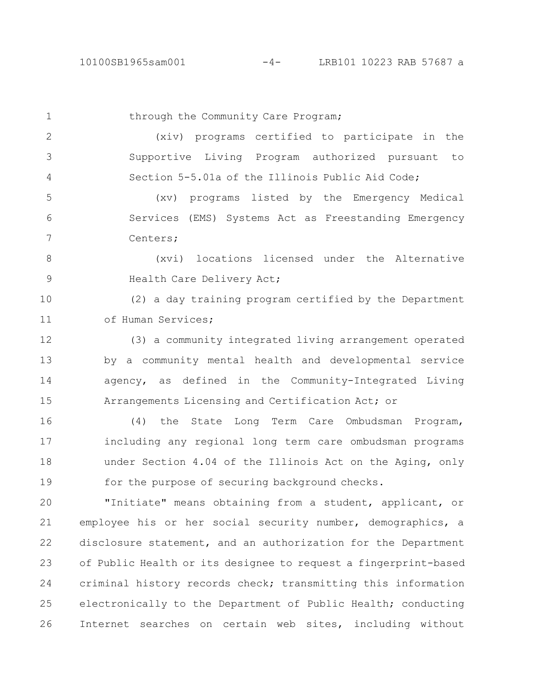26

## 10100SB1965sam001 -4- LRB101 10223 RAB 57687 a

through the Community Care Program; (xiv) programs certified to participate in the Supportive Living Program authorized pursuant to Section 5-5.01a of the Illinois Public Aid Code; (xv) programs listed by the Emergency Medical Services (EMS) Systems Act as Freestanding Emergency Centers; (xvi) locations licensed under the Alternative Health Care Delivery Act; (2) a day training program certified by the Department of Human Services; (3) a community integrated living arrangement operated by a community mental health and developmental service agency, as defined in the Community-Integrated Living Arrangements Licensing and Certification Act; or (4) the State Long Term Care Ombudsman Program, including any regional long term care ombudsman programs under Section 4.04 of the Illinois Act on the Aging, only for the purpose of securing background checks. "Initiate" means obtaining from a student, applicant, or employee his or her social security number, demographics, a disclosure statement, and an authorization for the Department of Public Health or its designee to request a fingerprint-based criminal history records check; transmitting this information electronically to the Department of Public Health; conducting 1 2 3 4 5 6 7 8 9 10 11 12 13 14 15 16 17 18 19 20 21 22 23 24 25

Internet searches on certain web sites, including without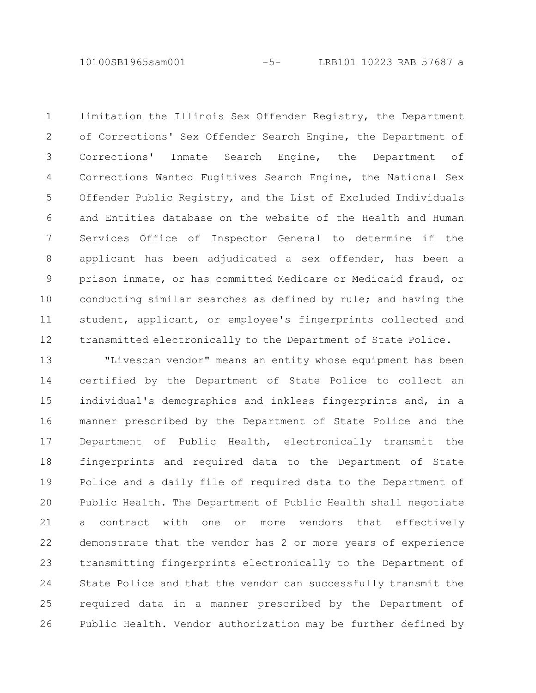10100SB1965sam001 -5- LRB101 10223 RAB 57687 a

limitation the Illinois Sex Offender Registry, the Department of Corrections' Sex Offender Search Engine, the Department of Corrections' Inmate Search Engine, the Department of Corrections Wanted Fugitives Search Engine, the National Sex Offender Public Registry, and the List of Excluded Individuals and Entities database on the website of the Health and Human Services Office of Inspector General to determine if the applicant has been adjudicated a sex offender, has been a prison inmate, or has committed Medicare or Medicaid fraud, or conducting similar searches as defined by rule; and having the student, applicant, or employee's fingerprints collected and transmitted electronically to the Department of State Police. 1 2 3 4 5 6 7 8 9 10 11 12

"Livescan vendor" means an entity whose equipment has been certified by the Department of State Police to collect an individual's demographics and inkless fingerprints and, in a manner prescribed by the Department of State Police and the Department of Public Health, electronically transmit the fingerprints and required data to the Department of State Police and a daily file of required data to the Department of Public Health. The Department of Public Health shall negotiate a contract with one or more vendors that effectively demonstrate that the vendor has 2 or more years of experience transmitting fingerprints electronically to the Department of State Police and that the vendor can successfully transmit the required data in a manner prescribed by the Department of Public Health. Vendor authorization may be further defined by 13 14 15 16 17 18 19 20 21 22 23 24 25 26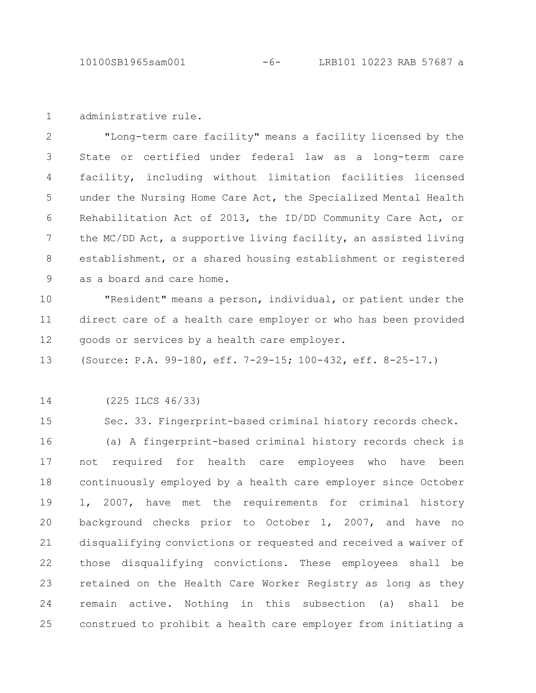10100SB1965sam001 -6- LRB101 10223 RAB 57687 a

administrative rule. 1

"Long-term care facility" means a facility licensed by the State or certified under federal law as a long-term care facility, including without limitation facilities licensed under the Nursing Home Care Act, the Specialized Mental Health Rehabilitation Act of 2013, the ID/DD Community Care Act, or the MC/DD Act, a supportive living facility, an assisted living establishment, or a shared housing establishment or registered as a board and care home. 2 3 4 5 6 7 8 9

"Resident" means a person, individual, or patient under the direct care of a health care employer or who has been provided goods or services by a health care employer. 10 11 12

(Source: P.A. 99-180, eff. 7-29-15; 100-432, eff. 8-25-17.) 13

(225 ILCS 46/33) 14

Sec. 33. Fingerprint-based criminal history records check. (a) A fingerprint-based criminal history records check is not required for health care employees who have been continuously employed by a health care employer since October 1, 2007, have met the requirements for criminal history background checks prior to October 1, 2007, and have no disqualifying convictions or requested and received a waiver of those disqualifying convictions. These employees shall be retained on the Health Care Worker Registry as long as they remain active. Nothing in this subsection (a) shall be construed to prohibit a health care employer from initiating a 15 16 17 18 19 20 21 22 23 24 25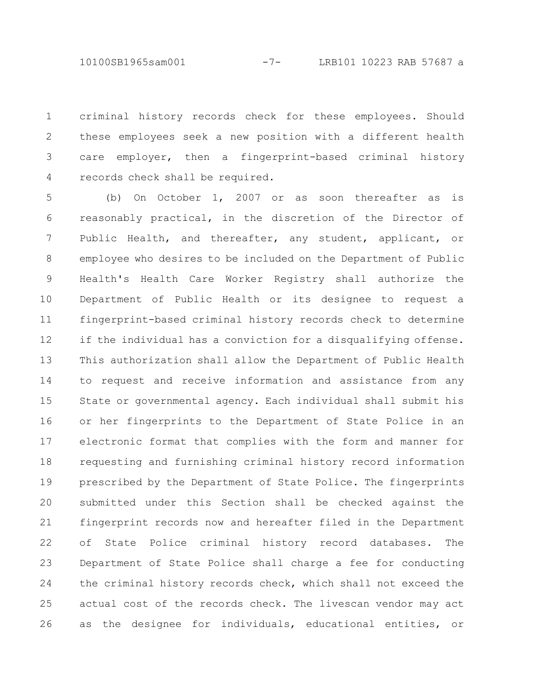10100SB1965sam001 -7- LRB101 10223 RAB 57687 a

criminal history records check for these employees. Should these employees seek a new position with a different health care employer, then a fingerprint-based criminal history records check shall be required. 1 2 3 4

(b) On October 1, 2007 or as soon thereafter as is reasonably practical, in the discretion of the Director of Public Health, and thereafter, any student, applicant, or employee who desires to be included on the Department of Public Health's Health Care Worker Registry shall authorize the Department of Public Health or its designee to request a fingerprint-based criminal history records check to determine if the individual has a conviction for a disqualifying offense. This authorization shall allow the Department of Public Health to request and receive information and assistance from any State or governmental agency. Each individual shall submit his or her fingerprints to the Department of State Police in an electronic format that complies with the form and manner for requesting and furnishing criminal history record information prescribed by the Department of State Police. The fingerprints submitted under this Section shall be checked against the fingerprint records now and hereafter filed in the Department of State Police criminal history record databases. The Department of State Police shall charge a fee for conducting the criminal history records check, which shall not exceed the actual cost of the records check. The livescan vendor may act as the designee for individuals, educational entities, or 5 6 7 8 9 10 11 12 13 14 15 16 17 18 19 20 21 22 23 24 25 26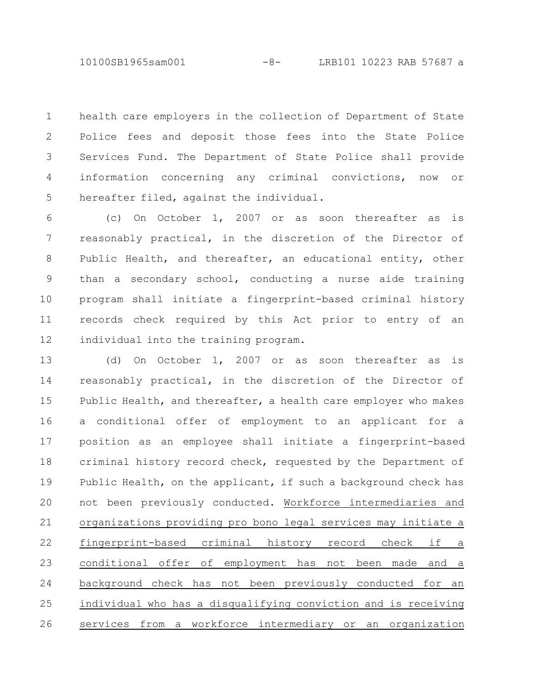10100SB1965sam001 -8- LRB101 10223 RAB 57687 a

health care employers in the collection of Department of State Police fees and deposit those fees into the State Police Services Fund. The Department of State Police shall provide information concerning any criminal convictions, now or hereafter filed, against the individual. 1 2 3 4 5

(c) On October 1, 2007 or as soon thereafter as is reasonably practical, in the discretion of the Director of Public Health, and thereafter, an educational entity, other than a secondary school, conducting a nurse aide training program shall initiate a fingerprint-based criminal history records check required by this Act prior to entry of an individual into the training program. 6 7 8 9 10 11 12

(d) On October 1, 2007 or as soon thereafter as is reasonably practical, in the discretion of the Director of Public Health, and thereafter, a health care employer who makes a conditional offer of employment to an applicant for a position as an employee shall initiate a fingerprint-based criminal history record check, requested by the Department of Public Health, on the applicant, if such a background check has not been previously conducted. Workforce intermediaries and organizations providing pro bono legal services may initiate a fingerprint-based criminal history record check if a conditional offer of employment has not been made and a background check has not been previously conducted for an individual who has a disqualifying conviction and is receiving services from a workforce intermediary or an organization 13 14 15 16 17 18 19 20 21 22 23 24 25 26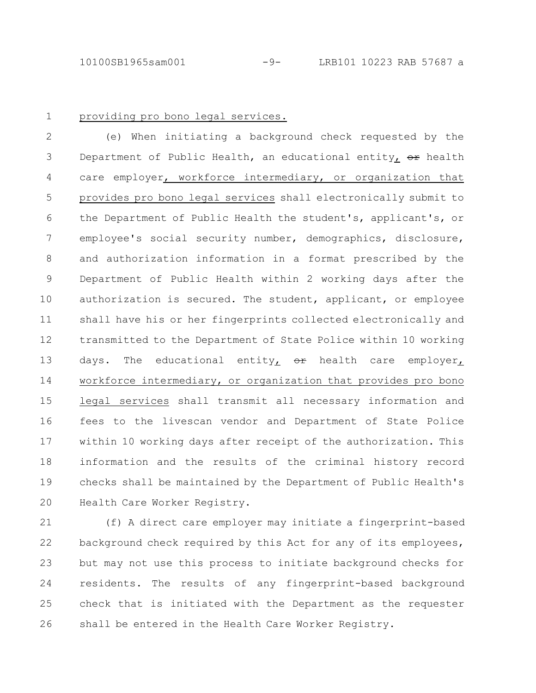1

## providing pro bono legal services.

(e) When initiating a background check requested by the Department of Public Health, an educational entity,  $\Theta$ r health care employer, workforce intermediary, or organization that provides pro bono legal services shall electronically submit to the Department of Public Health the student's, applicant's, or employee's social security number, demographics, disclosure, and authorization information in a format prescribed by the Department of Public Health within 2 working days after the authorization is secured. The student, applicant, or employee shall have his or her fingerprints collected electronically and transmitted to the Department of State Police within 10 working days. The educational entity<sub>L</sub>  $\Theta$ <sup>r</sup> health care employer<sub>L</sub> workforce intermediary, or organization that provides pro bono legal services shall transmit all necessary information and fees to the livescan vendor and Department of State Police within 10 working days after receipt of the authorization. This information and the results of the criminal history record checks shall be maintained by the Department of Public Health's Health Care Worker Registry. 2 3 4 5 6 7 8 9 10 11 12 13 14 15 16 17 18 19 20

(f) A direct care employer may initiate a fingerprint-based background check required by this Act for any of its employees, but may not use this process to initiate background checks for residents. The results of any fingerprint-based background check that is initiated with the Department as the requester shall be entered in the Health Care Worker Registry. 21 22 23 24 25 26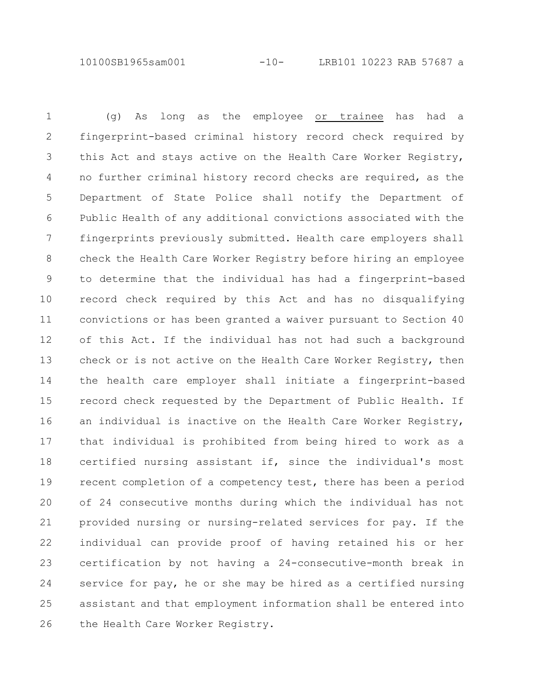10100SB1965sam001 -10- LRB101 10223 RAB 57687 a

(g) As long as the employee or trainee has had a fingerprint-based criminal history record check required by this Act and stays active on the Health Care Worker Registry, no further criminal history record checks are required, as the Department of State Police shall notify the Department of Public Health of any additional convictions associated with the fingerprints previously submitted. Health care employers shall check the Health Care Worker Registry before hiring an employee to determine that the individual has had a fingerprint-based record check required by this Act and has no disqualifying convictions or has been granted a waiver pursuant to Section 40 of this Act. If the individual has not had such a background check or is not active on the Health Care Worker Registry, then the health care employer shall initiate a fingerprint-based record check requested by the Department of Public Health. If an individual is inactive on the Health Care Worker Registry, that individual is prohibited from being hired to work as a certified nursing assistant if, since the individual's most recent completion of a competency test, there has been a period of 24 consecutive months during which the individual has not provided nursing or nursing-related services for pay. If the individual can provide proof of having retained his or her certification by not having a 24-consecutive-month break in service for pay, he or she may be hired as a certified nursing assistant and that employment information shall be entered into the Health Care Worker Registry. 1 2 3 4 5 6 7 8 9 10 11 12 13 14 15 16 17 18 19 20 21 22 23 24 25 26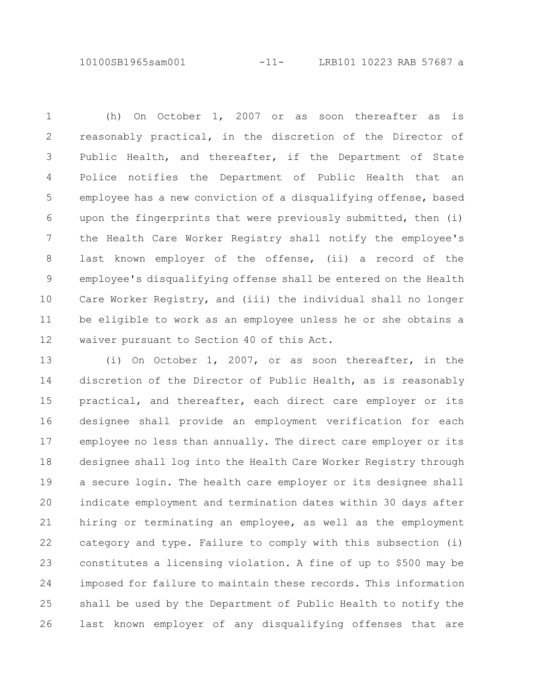10100SB1965sam001 -11- LRB101 10223 RAB 57687 a

(h) On October 1, 2007 or as soon thereafter as is reasonably practical, in the discretion of the Director of Public Health, and thereafter, if the Department of State Police notifies the Department of Public Health that an employee has a new conviction of a disqualifying offense, based upon the fingerprints that were previously submitted, then (i) the Health Care Worker Registry shall notify the employee's last known employer of the offense, (ii) a record of the employee's disqualifying offense shall be entered on the Health Care Worker Registry, and (iii) the individual shall no longer be eligible to work as an employee unless he or she obtains a waiver pursuant to Section 40 of this Act. 1 2 3 4 5 6 7 8 9 10 11 12

(i) On October 1, 2007, or as soon thereafter, in the discretion of the Director of Public Health, as is reasonably practical, and thereafter, each direct care employer or its designee shall provide an employment verification for each employee no less than annually. The direct care employer or its designee shall log into the Health Care Worker Registry through a secure login. The health care employer or its designee shall indicate employment and termination dates within 30 days after hiring or terminating an employee, as well as the employment category and type. Failure to comply with this subsection (i) constitutes a licensing violation. A fine of up to \$500 may be imposed for failure to maintain these records. This information shall be used by the Department of Public Health to notify the last known employer of any disqualifying offenses that are 13 14 15 16 17 18 19 20 21 22 23 24 25 26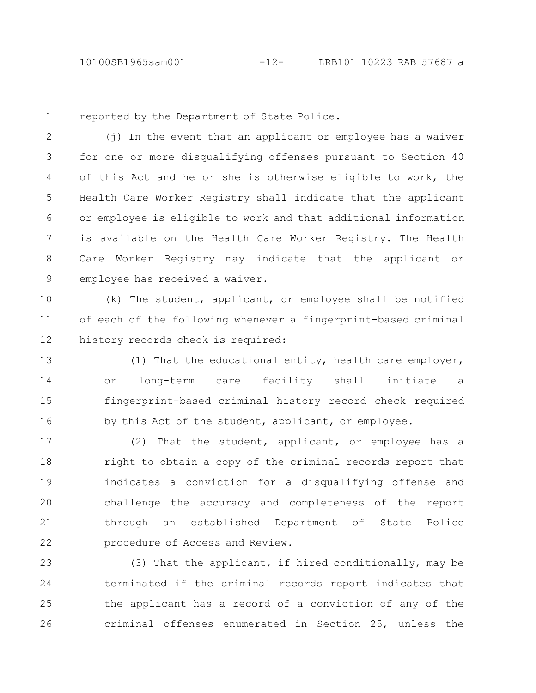1

reported by the Department of State Police.

(j) In the event that an applicant or employee has a waiver for one or more disqualifying offenses pursuant to Section 40 of this Act and he or she is otherwise eligible to work, the Health Care Worker Registry shall indicate that the applicant or employee is eligible to work and that additional information is available on the Health Care Worker Registry. The Health Care Worker Registry may indicate that the applicant or employee has received a waiver. 2 3 4 5 6 7 8 9

(k) The student, applicant, or employee shall be notified of each of the following whenever a fingerprint-based criminal history records check is required: 10 11 12

(1) That the educational entity, health care employer, or long-term care facility shall initiate a fingerprint-based criminal history record check required by this Act of the student, applicant, or employee. 13 14 15 16

(2) That the student, applicant, or employee has a right to obtain a copy of the criminal records report that indicates a conviction for a disqualifying offense and challenge the accuracy and completeness of the report through an established Department of State Police procedure of Access and Review. 17 18 19 20 21 22

(3) That the applicant, if hired conditionally, may be terminated if the criminal records report indicates that the applicant has a record of a conviction of any of the criminal offenses enumerated in Section 25, unless the 23 24 25 26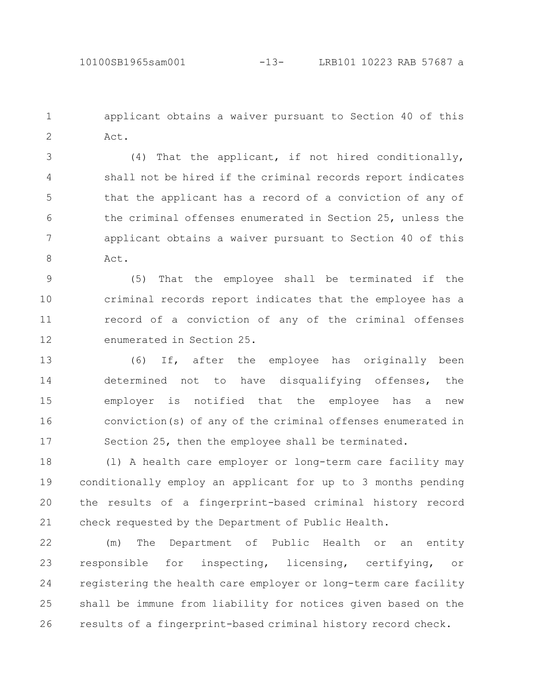applicant obtains a waiver pursuant to Section 40 of this Act. 1 2

(4) That the applicant, if not hired conditionally, shall not be hired if the criminal records report indicates that the applicant has a record of a conviction of any of the criminal offenses enumerated in Section 25, unless the applicant obtains a waiver pursuant to Section 40 of this Act. 3 4 5 6 7 8

(5) That the employee shall be terminated if the criminal records report indicates that the employee has a record of a conviction of any of the criminal offenses enumerated in Section 25. 9 10 11 12

(6) If, after the employee has originally been determined not to have disqualifying offenses, the employer is notified that the employee has a new conviction(s) of any of the criminal offenses enumerated in Section 25, then the employee shall be terminated. 13 14 15 16 17

(l) A health care employer or long-term care facility may conditionally employ an applicant for up to 3 months pending the results of a fingerprint-based criminal history record check requested by the Department of Public Health. 18 19 20 21

(m) The Department of Public Health or an entity responsible for inspecting, licensing, certifying, or registering the health care employer or long-term care facility shall be immune from liability for notices given based on the results of a fingerprint-based criminal history record check. 22 23 24 25 26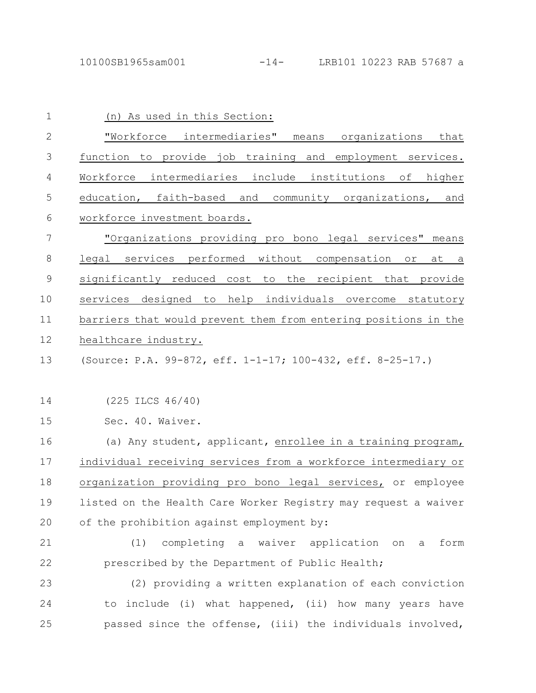| 1            | (n) As used in this Section:                                    |
|--------------|-----------------------------------------------------------------|
| $\mathbf{2}$ | "Workforce intermediaries" means organizations that             |
| 3            | function to provide job training and employment services.       |
| 4            | Workforce intermediaries include institutions of higher         |
| 5            | education, faith-based and community organizations, and         |
| 6            | workforce investment boards.                                    |
| 7            | "Organizations providing pro bono legal services" means         |
| 8            | legal services performed without compensation<br>or<br>at a     |
| $\mathsf 9$  | significantly reduced cost to the recipient that provide        |
| 10           | services designed to help individuals overcome statutory        |
| 11           | barriers that would prevent them from entering positions in the |
| 12           | healthcare industry.                                            |
| 13           | (Source: P.A. 99-872, eff. 1-1-17; 100-432, eff. 8-25-17.)      |
| 14           | $(225$ ILCS $46/40)$                                            |
| 15           | Sec. 40. Waiver.                                                |
| 16           | (a) Any student, applicant, enrollee in a training program,     |
| 17           | individual receiving services from a workforce intermediary or  |
| 18           | organization providing pro bono legal services, or employee     |
| 19           | listed on the Health Care Worker Registry may request a waiver  |
| 20           | of the prohibition against employment by:                       |
| 21           | completing a waiver application on a<br>form<br>(1)             |
| 22           | prescribed by the Department of Public Health;                  |
| 23           | (2) providing a written explanation of each conviction          |
| 24           | to include (i) what happened, (ii) how many years have          |
| 25           | passed since the offense, (iii) the individuals involved,       |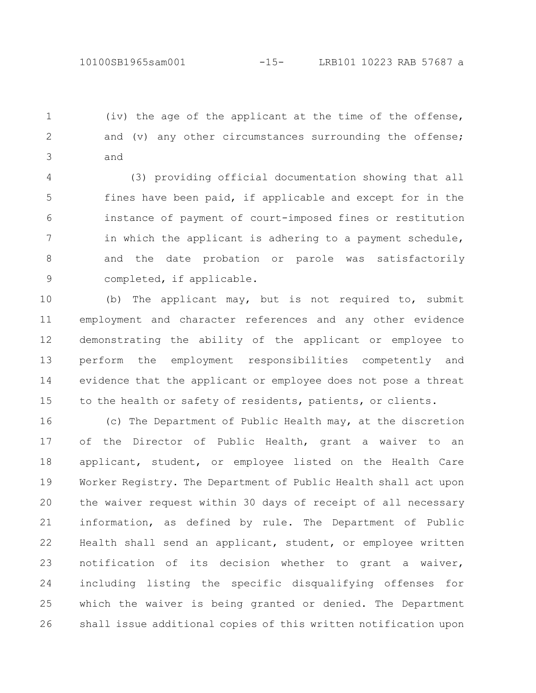(iv) the age of the applicant at the time of the offense, and (v) any other circumstances surrounding the offense; and 1 2 3

(3) providing official documentation showing that all fines have been paid, if applicable and except for in the instance of payment of court-imposed fines or restitution in which the applicant is adhering to a payment schedule, and the date probation or parole was satisfactorily completed, if applicable. 4 5 6 7 8 9

(b) The applicant may, but is not required to, submit employment and character references and any other evidence demonstrating the ability of the applicant or employee to perform the employment responsibilities competently and evidence that the applicant or employee does not pose a threat to the health or safety of residents, patients, or clients. 10 11 12 13 14 15

(c) The Department of Public Health may, at the discretion of the Director of Public Health, grant a waiver to an applicant, student, or employee listed on the Health Care Worker Registry. The Department of Public Health shall act upon the waiver request within 30 days of receipt of all necessary information, as defined by rule. The Department of Public Health shall send an applicant, student, or employee written notification of its decision whether to grant a waiver, including listing the specific disqualifying offenses for which the waiver is being granted or denied. The Department shall issue additional copies of this written notification upon 16 17 18 19 20 21 22 23 24 25 26